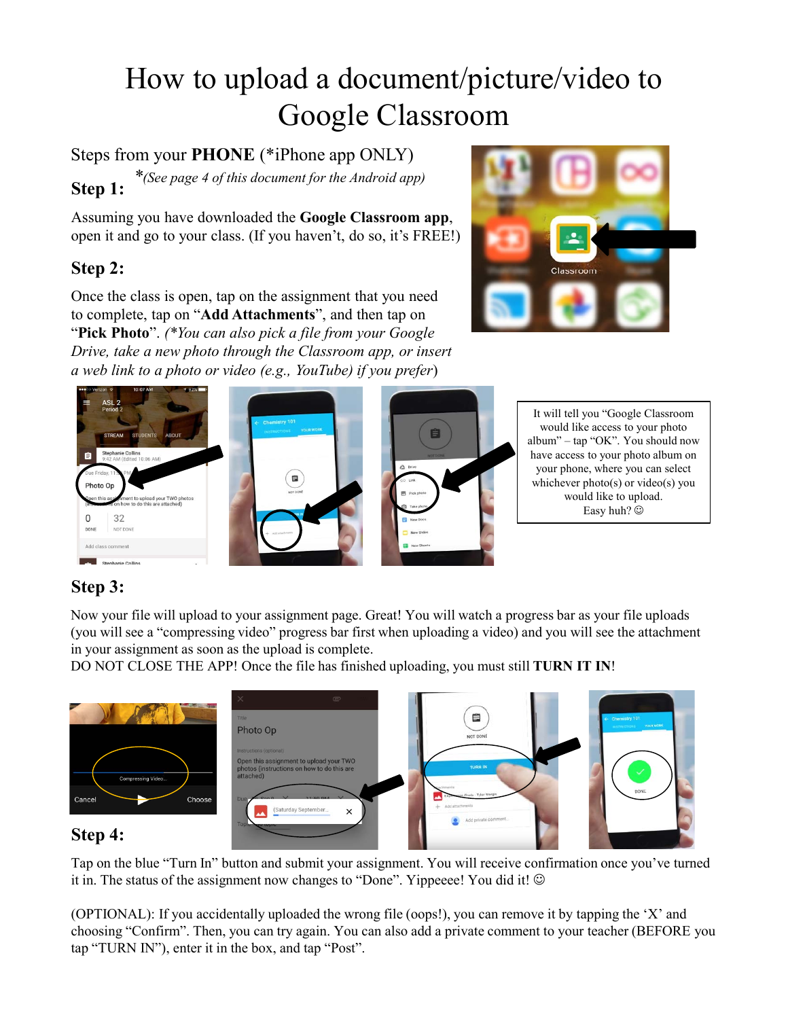# How to upload a document/picture/video to Google Classroom

**Step 1:** Steps from your **PHONE** (\*iPhone app ONLY)  *\*(See page 4 of this document for the Android app)*

Assuming you have downloaded the **Google Classroom app**, open it and go to your class. (If you haven't, do so, it's FREE!)

## **Step 2:**

Once the class is open, tap on the assignment that you need to complete, tap on "**Add Attachments**", and then tap on "**Pick Photo**". *(\*You can also pick a file from your Google Drive, take a new photo through the Classroom app, or insert a web link to a photo or video (e.g., YouTube) if you prefer*)





# **Step 3:**

Now your file will upload to your assignment page. Great! You will watch a progress bar as your file uploads (you will see a "compressing video" progress bar first when uploading a video) and you will see the attachment in your assignment as soon as the upload is complete.

DO NOT CLOSE THE APP! Once the file has finished uploading, you must still **TURN IT IN**!



#### **Step 4:**

Tap on the blue "Turn In" button and submit your assignment. You will receive confirmation once you've turned it in. The status of the assignment now changes to "Done". Yippeeee! You did it!  $\odot$ 

(OPTIONAL): If you accidentally uploaded the wrong file (oops!), you can remove it by tapping the 'X' and choosing "Confirm". Then, you can try again. You can also add a private comment to your teacher (BEFORE you tap "TURN IN"), enter it in the box, and tap "Post".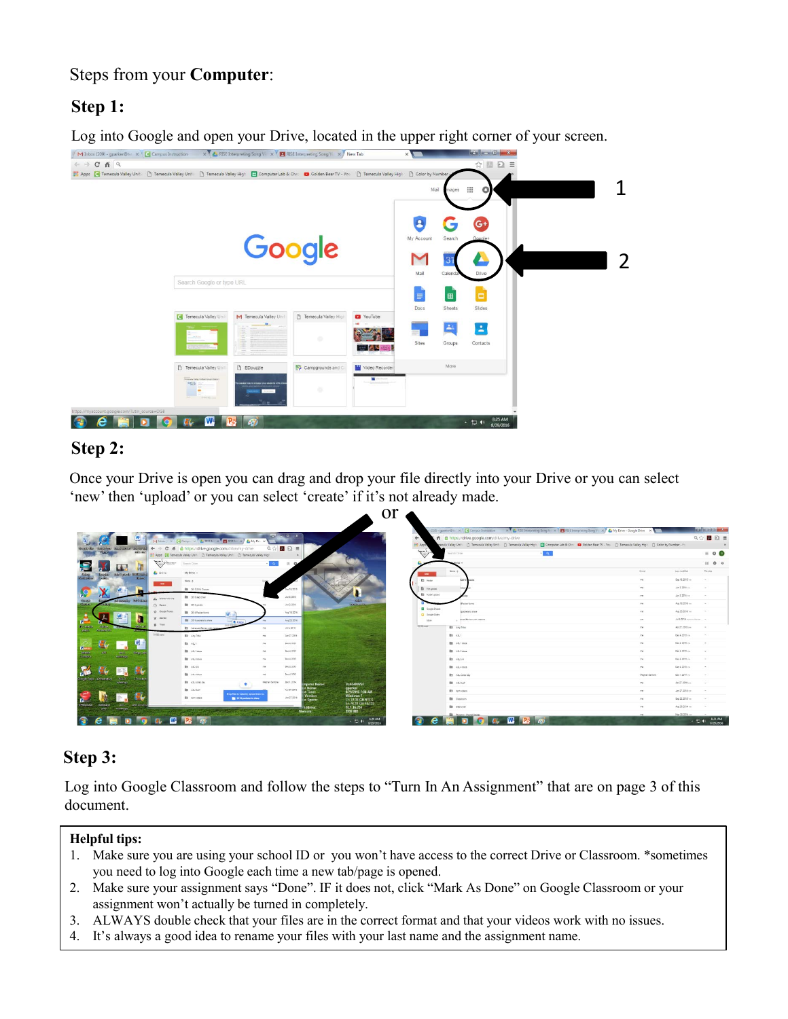## Steps from your **Computer**:

# **Step 1:**

Log into Google and open your Drive, located in the upper right corner of your screen.



#### **Step 2:**

Once your Drive is open you can drag and drop your file directly into your Drive or you can select 'new' then 'upload' or you can select 'create' if it's not already made.

 $\alpha r$ 

|                                                                                                              |                                |                                                                                                    |                   |                                                                                | <u>VI</u>                                            |                            |                                             | (210) - gparker@ti: X   [ Campus Instruction X   2. RISE Interpreting Song 1 X   23 Enterpreting Song 1 X   2. My Drive - Google Drive X                                   |                |                                   | <b>RANGE BROWNER</b>                                                                                                      |
|--------------------------------------------------------------------------------------------------------------|--------------------------------|----------------------------------------------------------------------------------------------------|-------------------|--------------------------------------------------------------------------------|------------------------------------------------------|----------------------------|---------------------------------------------|----------------------------------------------------------------------------------------------------------------------------------------------------------------------------|----------------|-----------------------------------|---------------------------------------------------------------------------------------------------------------------------|
|                                                                                                              |                                | Military, X. (Camp., X. C. RSEE: X. E. RSEE: X. C. MyDr., X.                                       |                   | <b>EL DX</b>                                                                   |                                                      |                            | A B https://drive.google.com/drive/my-drive |                                                                                                                                                                            |                |                                   | $@{\scriptstyle\hspace{0.1em}\trianglelefteq}\; \blacksquare @{\scriptstyle\hspace{0.1em}\trianglelefteq}\; \blacksquare$ |
| <b>BEING SECOND DECISITION</b><br><b>Server Cristin</b>                                                      |                                | ← → C 音 & https://drive.google.com/drive/my-drive                                                  |                   | $\begin{array}{c} \mathbb{Q} \otimes \mathbb{Z} \oplus \mathbb{Z} \end{array}$ |                                                      | Appt                       |                                             | pecula Valley Unit: [3] Temecula Valley Unit: [3] Temecula Valley High [3] Computer Lab & Chr: [3] Golden Bear TV - You [3] Temecula Valley High [3] Color by Number - Fri |                |                                   |                                                                                                                           |
| astronal.                                                                                                    |                                | Apps [4] Temecula Valley Unit [1] Temecula Valley Unit [1] Temecula Valley High                    |                   |                                                                                |                                                      | $\mathcal{F}'$             | Search Drive                                | $\alpha$                                                                                                                                                                   |                |                                   | $= 0$                                                                                                                     |
|                                                                                                              | Call Polarant                  | Search Drive                                                                                       | $\sim 2.7$        |                                                                                |                                                      |                            |                                             |                                                                                                                                                                            |                |                                   | $\mathbb{H}$ 0 0                                                                                                          |
|                                                                                                              | <b>4</b> Drive                 | My Drive -                                                                                         |                   |                                                                                |                                                      | $\blacksquare$             | Name A                                      |                                                                                                                                                                            | Over           | Last modified                     | Fieste.                                                                                                                   |
| <b>ANTIBORIA</b><br><b>SECON</b>                                                                             | $-$                            | Name A:                                                                                            |                   |                                                                                |                                                      | <b>B3</b> Folder           |                                             |                                                                                                                                                                            | 1mg            | Sep 18, 2015 cm                   | $\sim$                                                                                                                    |
|                                                                                                              |                                | <b>Bit</b> 2015-2016 Classes                                                                       |                   | Sep 18, 2015                                                                   |                                                      | El Finalmi                 |                                             |                                                                                                                                                                            | <b>The</b>     | 3.43200                           |                                                                                                                           |
| ia 7<br><b>Gase</b>                                                                                          | II. Dandschier                 | <b>Bill</b> 2016 dest char                                                                         |                   | $J = 2.2016$                                                                   |                                                      | <b>El</b> Folder upload    |                                             |                                                                                                                                                                            | 1 me           | Jun 3, 2016 cm                    |                                                                                                                           |
| <b>Classico</b>                                                                                              | O Facert                       | <b>Bill 2016 grades</b>                                                                            |                   | Jun 3, 2016                                                                    | <b>DISTURBANCE</b>                                   | <b>CD</b> Google Sheets    | 1Packet forms                               |                                                                                                                                                                            | <b>Inc.</b>    | Aug 10, 2018 rm                   |                                                                                                                           |
| clayer.<br><b>Sanker Of</b>                                                                                  | st. Google Phones<br>dr. Darwi | <b>By 2014 Packettorns</b>                                                                         |                   | Aug 18, 2016                                                                   |                                                      | C Scope Store              | Southern to show                            |                                                                                                                                                                            | me             | Aug 23, 2016 --                   |                                                                                                                           |
|                                                                                                              | $B = 700$                      | <b>BI</b> 2016 perfect to share                                                                    |                   | Aug 23, 2016                                                                   |                                                      | <b>Slove</b><br>59.00 user | arced Parison with Jesuica                  |                                                                                                                                                                            | me             | At 6.2016 (warrier (Fender) - re- |                                                                                                                           |
|                                                                                                              | 19 GRouses                     | <b>B1 Adversed Review with Jank</b>                                                                |                   | 345.2016                                                                       |                                                      |                            | <b>BS</b> Any Tripe                         |                                                                                                                                                                            | <b>THE</b>     | Apr 27, 2018 (m)                  |                                                                                                                           |
| $\overline{a}$<br><b>Wate</b><br>Campus<br>warmup:<br>$-48.5$<br>- Treach<br>schmidte, idea seco<br>165/1112 |                                | <b>B1 Anche</b><br>83 45.1                                                                         | <b>Statistics</b> | Apr 27, 2016                                                                   |                                                      |                            | 图 49.1                                      |                                                                                                                                                                            | $-10$          | Dick 2015 mill                    |                                                                                                                           |
|                                                                                                              |                                | <b>BI AS/1600</b>                                                                                  | <b>COL</b><br>m   | Dec 4, 2015<br>Dec 4, 2015                                                     |                                                      |                            | <b>BI</b> AS 1600<br>图 45.1600              |                                                                                                                                                                            | 17W<br>176     | Dec 4, 2015 PM<br>Dec 4, 2015 --  | <b>A</b>                                                                                                                  |
|                                                                                                              |                                | <b>BB</b> ASL2-6108                                                                                | <b>Hart</b>       | Der 4, 2015                                                                    |                                                      |                            | 83 49.34                                    |                                                                                                                                                                            | $\tau$         | Dec 4, 2015 cm                    |                                                                                                                           |
|                                                                                                              |                                | R3 . A3, 54                                                                                        | <b>Allen</b>      | Dec 4, 2013                                                                    |                                                      |                            | <b>BB</b> ASL 4 6919                        |                                                                                                                                                                            | me             | Dep 4, 2215 yar.                  |                                                                                                                           |
|                                                                                                              |                                | Bit All-Adors                                                                                      | $^{**}$           | Dec 4, 2015                                                                    |                                                      |                            | 图 All colleting                             |                                                                                                                                                                            | Meghan Santone | Dec 1, 2014 mm                    | <b>1999</b>                                                                                                               |
|                                                                                                              |                                | <b>B1</b> AS, colvo day<br>$+$                                                                     | Maghan Sertions   | Dec 1, 2014                                                                    | <b>2UAD480V6F</b><br>er Name                         |                            | <b>BE AS DVF</b>                            |                                                                                                                                                                            | me             | Apr 27, 2018 res                  |                                                                                                                           |
|                                                                                                              |                                | <b>BB</b> 40,000                                                                                   |                   | Air 27, 2016                                                                   | gparker.<br>lame:<br>8/29/2016 7:04 AM<br>Time:      |                            | <b>B1</b> both videos                       |                                                                                                                                                                            | 198            | Jan 27, 2218 (cm)                 | <b>Contract</b>                                                                                                           |
|                                                                                                              |                                | Ing files to instantly upload them to<br><b>BY</b> both riders<br><b>Big 2018 packets to share</b> |                   | Jan 27, 2016                                                                   | <b>Windows 7</b><br>ertion<br>CA22 3GB NTES<br>Space |                            | <b>BB</b> Cassroom                          |                                                                                                                                                                            | <b>THE</b>     | Sep 22, 2515 cm                   |                                                                                                                           |
| ont24 io<br>eHelpdesk<br><b>ACODIDE</b><br>$-101 -$<br><b>Warmons</b><br>ries.                               |                                |                                                                                                    |                   |                                                                                | E176.31 GB FAT32<br>10.1.10.254<br>idense            |                            | <b>Bill</b> Dest Drain                      |                                                                                                                                                                            | 196            | Aug 29.2014 rm                    |                                                                                                                           |
|                                                                                                              |                                |                                                                                                    |                   |                                                                                | 3392 MB                                              |                            |                                             |                                                                                                                                                                            |                | May 28, 2015 xm                   |                                                                                                                           |
|                                                                                                              | m                              |                                                                                                    |                   |                                                                                | 829 AM<br>$-50.40$<br>8/29/2016                      |                            |                                             |                                                                                                                                                                            |                |                                   | 8-31 AM<br>$-5.41$                                                                                                        |

#### **Step 3:**

Log into Google Classroom and follow the steps to "Turn In An Assignment" that are on page 3 of this document.

#### **Helpful tips:**

- 1. Make sure you are using your school ID or you won't have access to the correct Drive or Classroom. \*sometimes you need to log into Google each time a new tab/page is opened.
- 2. Make sure your assignment says "Done". IF it does not, click "Mark As Done" on Google Classroom or your assignment won't actually be turned in completely.
- 3. ALWAYS double check that your files are in the correct format and that your videos work with no issues.
- 4. It's always a good idea to rename your files with your last name and the assignment name.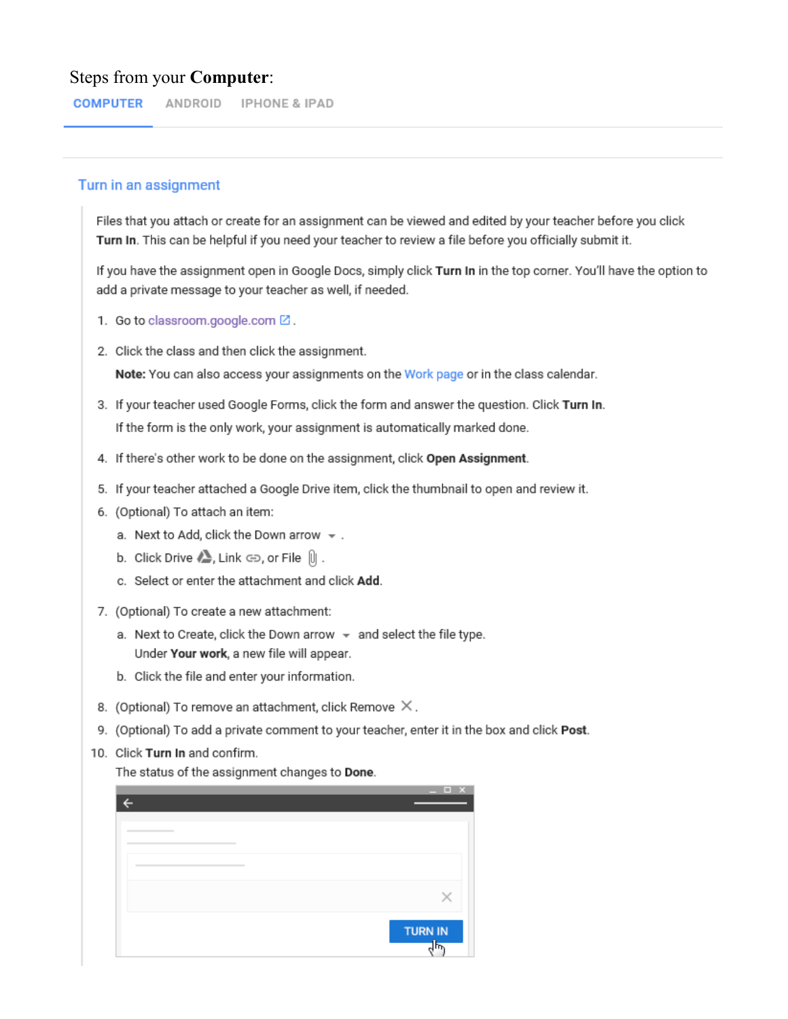#### Steps from your **Computer**:

**COMPUTER** ANDROID IPHONE & IPAD

#### Turn in an assignment

Files that you attach or create for an assignment can be viewed and edited by your teacher before you click Turn In. This can be helpful if you need your teacher to review a file before you officially submit it.

If you have the assignment open in Google Docs, simply click Turn In in the top corner. You'll have the option to add a private message to your teacher as well, if needed.

- 1. Go to classroom.google.com Z.
- 2. Click the class and then click the assignment.

Note: You can also access your assignments on the Work page or in the class calendar.

- 3. If your teacher used Google Forms, click the form and answer the question. Click Turn In. If the form is the only work, your assignment is automatically marked done.
- 4. If there's other work to be done on the assignment, click Open Assignment.
- 5. If your teacher attached a Google Drive item, click the thumbnail to open and review it.
- 6. (Optional) To attach an item:
	- a. Next to Add, click the Down arrow  $\sim$  .
	- b. Click Drive  $\triangle$ , Link  $\ominus$ , or File  $[|]$ .
	- c. Select or enter the attachment and click Add.
- 7. (Optional) To create a new attachment:
	- a. Next to Create, click the Down arrow  $\sqrt{*}$  and select the file type. Under Your work, a new file will appear.
	- b. Click the file and enter your information.
- 8. (Optional) To remove an attachment, click Remove  $\times$ .
- 9. (Optional) To add a private comment to your teacher, enter it in the box and click Post.
- 10. Click Turn In and confirm.

The status of the assignment changes to Done.

| $  \times$     |
|----------------|
|                |
|                |
|                |
|                |
|                |
|                |
|                |
|                |
|                |
|                |
|                |
| <b>TURN IN</b> |
| $\frac{1}{2}$  |
|                |